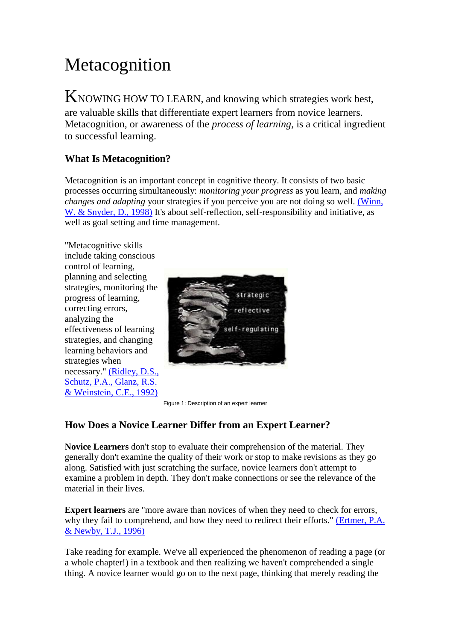# Metacognition

KNOWING HOW TO LEARN, and knowing which strategies work best, are valuable skills that differentiate expert learners from novice learners. Metacognition, or awareness of the *process of learning,* is a critical ingredient to successful learning.

## **What Is Metacognition?**

Metacognition is an important concept in cognitive theory. It consists of two basic processes occurring simultaneously: *monitoring your progress* as you learn, and *making changes and adapting* your strategies if you perceive you are not doing so well. [\(Winn,](http://www.etc.edu.cn/eet/eet/Admin/Biblio.htm#WinnW1996)  [W. & Snyder, D., 1998\)](http://www.etc.edu.cn/eet/eet/Admin/Biblio.htm#WinnW1996) It's about self-reflection, self-responsibility and initiative, as well as goal setting and time management.

"Metacognitive skills include taking conscious control of learning, planning and selecting strategies, monitoring the progress of learning, correcting errors, analyzing the effectiveness of learning strategies, and changing learning behaviors and strategies when necessary." (Ridley, D.S., [Schutz, P.A., Glanz, R.S.](http://www.etc.edu.cn/eet/eet/Admin/Biblio.htm#RidleyDS1992)  [& Weinstein, C.E., 1992\)](http://www.etc.edu.cn/eet/eet/Admin/Biblio.htm#RidleyDS1992)



Figure 1: Description of an expert learner

## **How Does a Novice Learner Differ from an Expert Learner?**

**Novice Learners** don't stop to evaluate their comprehension of the material. They generally don't examine the quality of their work or stop to make revisions as they go along. Satisfied with just scratching the surface, novice learners don't attempt to examine a problem in depth. They don't make connections or see the relevance of the material in their lives.

**Expert learners** are "more aware than novices of when they need to check for errors, why they fail to comprehend, and how they need to redirect their efforts." (Ertmer, P.A. [& Newby, T.J., 1996\)](http://www.etc.edu.cn/eet/eet/Admin/Biblio.htm#ErtmerPA1996)

Take reading for example. We've all experienced the phenomenon of reading a page (or a whole chapter!) in a textbook and then realizing we haven't comprehended a single thing. A novice learner would go on to the next page, thinking that merely reading the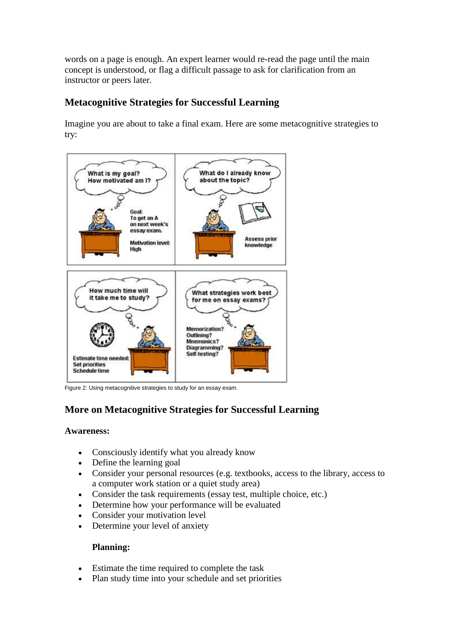words on a page is enough. An expert learner would re-read the page until the main concept is understood, or flag a difficult passage to ask for clarification from an instructor or peers later.

## **Metacognitive Strategies for Successful Learning**

Imagine you are about to take a final exam. Here are some metacognitive strategies to try:



Figure 2: Using metacognitive strategies to study for an essay exam.

# **More on Metacognitive Strategies for Successful Learning**

#### **Awareness:**

- Consciously identify what you already know
- Define the learning goal
- Consider your personal resources (e.g. textbooks, access to the library, access to a computer work station or a quiet study area)
- Consider the task requirements (essay test, multiple choice, etc.)
- Determine how your performance will be evaluated
- Consider your motivation level
- Determine your level of anxiety

#### **Planning:**

- Estimate the time required to complete the task
- Plan study time into your schedule and set priorities